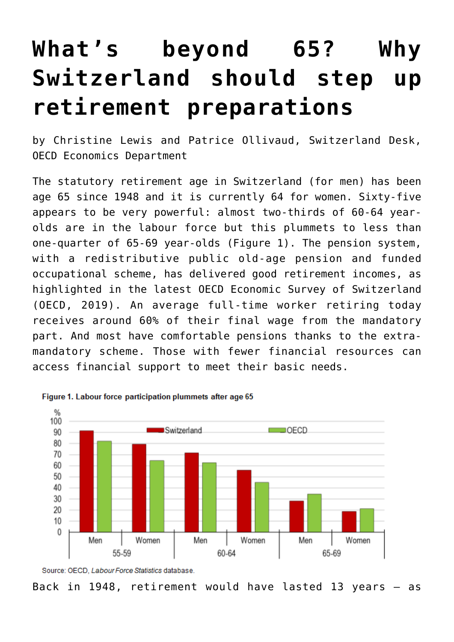## **[What's beyond 65? Why](https://oecdecoscope.blog/2019/11/04/whats-beyond-65-why-switzerland-should-step-up-retirement-preparations/) [Switzerland should step up](https://oecdecoscope.blog/2019/11/04/whats-beyond-65-why-switzerland-should-step-up-retirement-preparations/) [retirement preparations](https://oecdecoscope.blog/2019/11/04/whats-beyond-65-why-switzerland-should-step-up-retirement-preparations/)**

by Christine Lewis and Patrice Ollivaud, Switzerland Desk, OECD Economics Department

The statutory retirement age in Switzerland (for men) has been age 65 since 1948 and it is currently 64 for women. Sixty-five appears to be very powerful: almost two-thirds of 60-64 yearolds are in the labour force but this plummets to less than one-quarter of 65-69 year-olds (Figure 1). The pension system, with a redistributive public old-age pension and funded occupational scheme, has delivered good retirement incomes, as highlighted in the latest [OECD Economic Survey of Switzerland](http://www.oecd.org/economy/switzerland-economic-snapshot/) (OECD, 2019). An average full-time worker retiring today receives around 60% of their final wage from the mandatory part. And most have comfortable pensions thanks to the extramandatory scheme. Those with fewer financial resources can access financial support to meet their basic needs.



Figure 1. Labour force participation plummets after age 65



Back in 1948, retirement would have lasted 13 years – as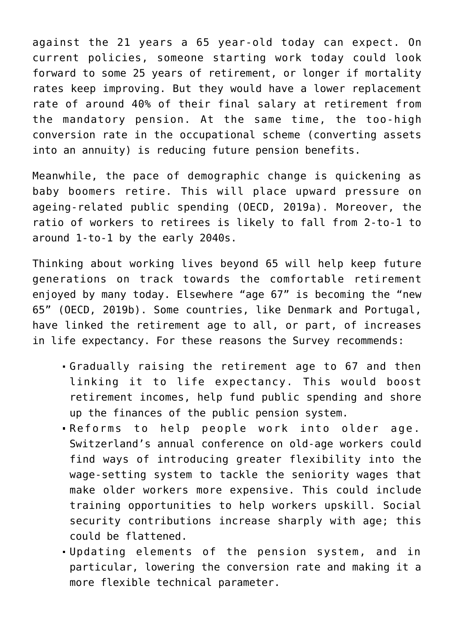against the 21 years a 65 year-old today can expect. On current policies, someone starting work today could look forward to some 25 years of retirement, or longer if mortality rates keep improving. But they would have a lower replacement rate of around 40% of their final salary at retirement from the mandatory pension. At the same time, the too-high conversion rate in the occupational scheme (converting assets into an annuity) is reducing future pension benefits.

Meanwhile, the pace of demographic change is quickening as baby boomers retire. This will place upward pressure on ageing-related public spending (OECD, 2019a). Moreover, the ratio of workers to retirees is likely to fall from 2-to-1 to around 1-to-1 by the early 2040s.

Thinking about working lives beyond 65 will help keep future generations on track towards the comfortable retirement enjoyed by many today. Elsewhere "age 67" is becoming the "new 65" (OECD, 2019b). Some countries, like Denmark and Portugal, have linked the retirement age to all, or part, of increases in life expectancy. For these reasons the Survey recommends:

- Gradually raising the retirement age to 67 and then linking it to life expectancy. This would boost retirement incomes, help fund public spending and shore up the finances of the public pension system.
- Reforms to help people work into older age. Switzerland's annual conference on old-age workers could find ways of introducing greater flexibility into the wage-setting system to tackle the seniority wages that make older workers more expensive. This could include training opportunities to help workers upskill. Social security contributions increase sharply with age; this could be flattened.
- Updating elements of the pension system, and in particular, lowering the conversion rate and making it a more flexible technical parameter.